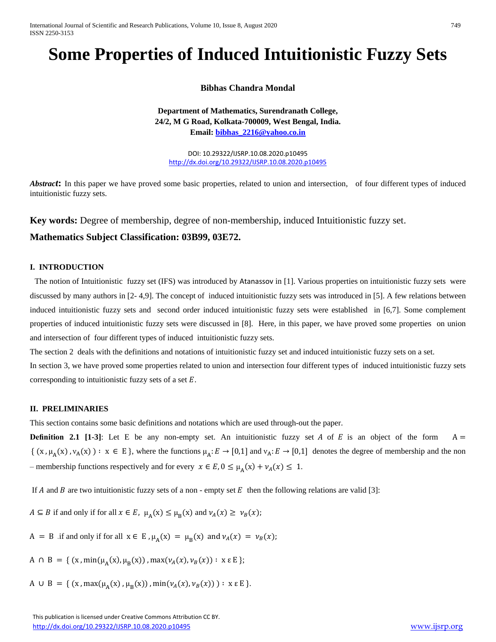International Journal of Scientific and Research Publications, Volume 10, Issue 8, August 2020 749 ISSN 2250-3153

# **Some Properties of Induced Intuitionistic Fuzzy Sets**

## **Bibhas Chandra Mondal**

**Department of Mathematics, Surendranath College, 24/2, M G Road, Kolkata-700009, West Bengal, India. Email: [bibhas\\_2216@yahoo.co.in](mailto:bibhas_2216@yahoo.co.in)**

DOI: 10.29322/IJSRP.10.08.2020.p10495 <http://dx.doi.org/10.29322/IJSRP.10.08.2020.p10495>

*Abstract***:** In this paper we have proved some basic properties, related to union and intersection, of four different types of induced intuitionistic fuzzy sets.

**Key words:** Degree of membership, degree of non-membership, induced Intuitionistic fuzzy set.

### **Mathematics Subject Classification: 03B99, 03E72.**

### **I. INTRODUCTION**

 The notion of Intuitionistic fuzzy set (IFS) was introduced by Atanassov in [1]. Various properties on intuitionistic fuzzy sets were discussed by many authors in [2- 4,9]. The concept of induced intuitionistic fuzzy sets was introduced in [5]. A few relations between induced intuitionistic fuzzy sets and second order induced intuitionistic fuzzy sets were established in [6,7]. Some complement properties of induced intuitionistic fuzzy sets were discussed in [8]. Here, in this paper, we have proved some properties on union and intersection of four different types of induced intuitionistic fuzzy sets.

The section 2 deals with the definitions and notations of intuitionistic fuzzy set and induced intuitionistic fuzzy sets on a set. In section 3, we have proved some properties related to union and intersection four different types of induced intuitionistic fuzzy sets corresponding to intuitionistic fuzzy sets of a set  $E$ .

### **II. PRELIMINARIES**

This section contains some basic definitions and notations which are used through-out the paper.

**Definition 2.1 [1-3]:** Let E be any non-empty set. An intuitionistic fuzzy set A of E is an object of the form  $A =$  $\{(x, \mu_A(x), \nu_A(x)) : x \in E\}$ , where the functions  $\mu_A : E \to [0,1]$  and  $\nu_A : E \to [0,1]$  denotes the degree of membership and the non – membership functions respectively and for every  $x \in E$ ,  $0 \le \mu_A(x) + \nu_A(x) \le 1$ .

If A and B are two intuitionistic fuzzy sets of a non - empty set E then the following relations are valid [3]:

 $A \subseteq B$  if and only if for all  $x \in E$ ,  $\mu_A(x) \le \mu_B(x)$  and  $\nu_A(x) \ge \nu_B(x)$ ;

 $A = B$  if and only if for all  $x \in E$ ,  $\mu_A(x) = \mu_B(x)$  and  $\nu_A(x) = \nu_B(x)$ ;

A  $\cap$  B = { (x, min( $\mu$ <sub>A</sub>(x),  $\mu$ <sub>B</sub>(x)), max( $\nu$ <sub>A</sub>(x),  $\nu$ <sub>B</sub>(x)) : x  $\epsilon$  E };

A  $\cup$  B = { (x, max( $\mu$ <sub>A</sub>(x),  $\mu$ <sub>B</sub>(x)), min( $\nu$ <sub>A</sub>(x),  $\nu$ <sub>B</sub>(x))) : x  $\varepsilon$  E }.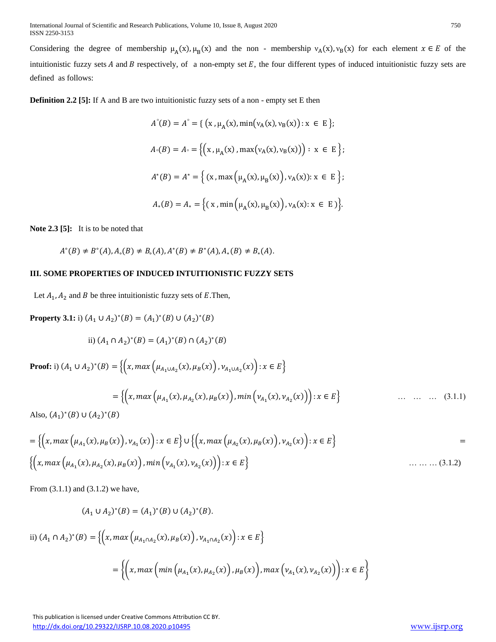Considering the degree of membership  $\mu_A(x), \mu_B(x)$  and the non - membership  $v_A(x), v_B(x)$  for each element  $x \in E$  of the intuitionistic fuzzy sets  $A$  and  $B$  respectively, of a non-empty set  $E$ , the four different types of induced intuitionistic fuzzy sets are defined as follows:

**Definition 2.2** [5]: If A and B are two intuitionistic fuzzy sets of a non - empty set E then

$$
A^{\circ}(B) = A^{\circ} = \{ (x, \mu_A(x), \min(v_A(x), v_B(x)) : x \in E \};
$$
  
\n
$$
A^{\circ}(B) = A^{\circ} = \{ (x, \mu_A(x), \max(v_A(x), v_B(x))) : x \in E \};
$$
  
\n
$$
A^*(B) = A^* = \{ (x, \max(\mu_A(x), \mu_B(x)), v_A(x)) : x \in E \};
$$
  
\n
$$
A_*(B) = A_* = \{ (x, \min(\mu_A(x), \mu_B(x)), v_A(x) : x \in E) \}.
$$

**Note 2.3 [5]:** It is to be noted that

$$
A^{\circ}(B) \neq B^{\circ}(A), A_{\circ}(B) \neq B_{\circ}(A), A^*(B) \neq B^*(A), A_*(B) \neq B_*(A).
$$

### **III. SOME PROPERTIES OF INDUCED INTUITIONISTIC FUZZY SETS**

Let  $A_1$ ,  $A_2$  and B be three intuitionistic fuzzy sets of E.Then,

**Property 3.1:** i)  $(A_1 \cup A_2)^*(B) = (A_1)^*(B) \cup (A_2)^*(B)$ 

ii) 
$$
(A_1 \cap A_2)^*(B) = (A_1)^*(B) \cap (A_2)^*(B)
$$

**Proof:** i)  $(A_1 \cup A_2)^*(B) = \{(x, max(\mu_{A_1 \cup A_2}(x), \mu_B(x)), \nu_{A_1 \cup A_2}(x)) : x \in E\}$  $=\{(x, max(\mu_{A_1}(x), \mu_{A_2}(x), \mu_B(x)), min(\nu_{A_1}(x), \nu_{A_2})\})$  $\ldots$   $\ldots$   $\ldots$  (3.1.1)

Also,  $(A_1)^*(B) \cup (A_2)^*(B)$ 

$$
= \left\{ \left( x, \max \left( \mu_{A_1}(x), \mu_B(x) \right), \nu_{A_1}(x) \right) : x \in E \right\} \cup \left\{ \left( x, \max \left( \mu_{A_2}(x), \mu_B(x) \right), \nu_{A_2}(x) \right) : x \in E \right\}
$$
  

$$
= \left\{ \left( x, \max \left( \mu_{A_1}(x), \mu_{A_2}(x), \mu_B(x) \right), \min \left( \nu_{A_1}(x), \nu_{A_2}(x) \right) \right) : x \in E \right\}
$$
........(3.1.2)

From (3.1.1) and (3.1.2) we have,

$$
(A_1 \cup A_2)^*(B) = (A_1)^*(B) \cup (A_2)^*(B).
$$

ii) 
$$
(A_1 \cap A_2)^*(B) = \{ (x, max (\mu_{A_1 \cap A_2}(x), \mu_B(x)), \nu_{A_1 \cap A_2}(x)) : x \in E \}
$$
  

$$
= \{ (x, max (min (\mu_{A_1}(x), \mu_{A_2}(x)), \mu_B(x)), max (\nu_{A_1}(x), \nu_{A_2}(x)) ) : x \in E \}
$$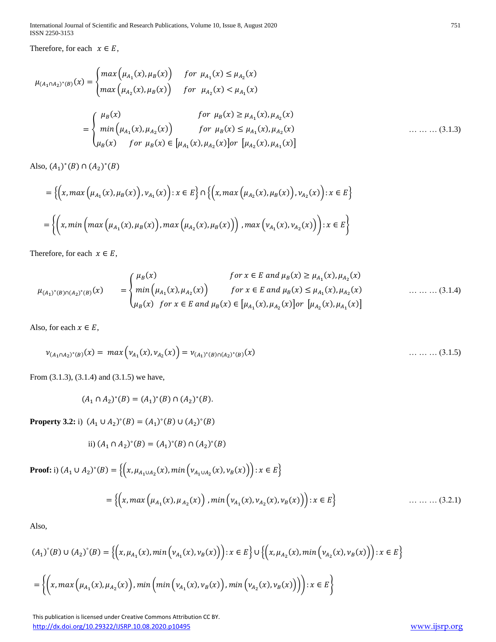International Journal of Scientific and Research Publications, Volume 10, Issue 8, August 2020 751 ISSN 2250-3153

Therefore, for each  $x \in E$ ,

$$
\mu_{(A_1 \cap A_2)^*(B)}(x) = \begin{cases}\n\max \left( \mu_{A_1}(x), \mu_B(x) \right) & \text{for } \mu_{A_1}(x) \le \mu_{A_2}(x) \\
\max \left( \mu_{A_2}(x), \mu_B(x) \right) & \text{for } \mu_{A_2}(x) < \mu_{A_1}(x) \\
& \text{for } \mu_B(x) \ge \mu_{A_1}(x), \mu_{A_2}(x) \\
\min \left( \mu_{A_1}(x), \mu_{A_2}(x) \right) & \text{for } \mu_B(x) \le \mu_{A_1}(x), \mu_{A_2}(x) \\
\mu_B(x) & \text{for } \mu_B(x) \in \left[ \mu_{A_1}(x), \mu_{A_2}(x) \right] \\
\text{or } \mu_B(x) = \left[ \mu_{A_1}(x), \mu_{A_2}(x) \right]\n\end{cases} \tag{3.1.3}
$$

Also,  $(A_1)^*(B) \cap (A_2)^*(B)$ 

$$
= \left\{ \left(x, \max(\mu_{A_1}(x), \mu_B(x)), v_{A_1}(x)\right) : x \in E \right\} \cap \left\{ \left(x, \max(\mu_{A_2}(x), \mu_B(x)), v_{A_2}(x)\right) : x \in E \right\}
$$

$$
= \left\{ \left(x, \min(\max(\mu_{A_1}(x), \mu_B(x)), \max(\mu_{A_2}(x), \mu_B(x))\right), \max(v_{A_1}(x), v_{A_2}(x)) \right) : x \in E \right\}
$$

Therefore, for each  $x \in E$ ,

$$
\mu_{(A_1)^*(B)\cap (A_2)^*(B)}(x) = \begin{cases} \mu_B(x) & \text{for } x \in E \text{ and } \mu_B(x) \ge \mu_{A_1}(x), \mu_{A_2}(x) \\ \min\left(\mu_{A_1}(x), \mu_{A_2}(x)\right) & \text{for } x \in E \text{ and } \mu_B(x) \le \mu_{A_1}(x), \mu_{A_2}(x) \\ \mu_B(x) & \text{for } x \in E \text{ and } \mu_B(x) \in [\mu_{A_1}(x), \mu_{A_2}(x)] \text{or } [\mu_{A_2}(x), \mu_{A_1}(x)] \end{cases} \tag{3.1.4}
$$

Also, for each  $x \in E$ ,

$$
\nu_{(A_1 \cap A_2)^*(B)}(x) = \max \left( \nu_{A_1}(x), \nu_{A_2}(x) \right) = \nu_{(A_1)^*(B) \cap (A_2)^*(B)}(x) \tag{3.1.5}
$$

From (3.1.3), (3.1.4) and (3.1.5) we have,

$$
(A_1 \cap A_2)^*(B) = (A_1)^*(B) \cap (A_2)^*(B).
$$

**Property 3.2:** i)  $(A_1 \cup A_2)^\circ(B) = (A_1)^\circ(B) \cup (A_2)^\circ(B)$ 

ii) 
$$
(A_1 \cap A_2)^\circ(B) = (A_1)^\circ(B) \cap (A_2)^\circ(B)
$$

Proof: i) 
$$
(A_1 \cup A_2)^{\circ}(B) = \{ (x, \mu_{A_1 \cup A_2}(x), \min(\nu_{A_1 \cup A_2}(x), \nu_B(x)) ) : x \in E \}
$$
  

$$
= \{ (x, \max(\mu_{A_1}(x), \mu_{A_2}(x)) , \min(\nu_{A_1}(x), \nu_{A_2}(x), \nu_B(x)) ) : x \in E \}
$$
 .... .... (3.2.1)

Also,

$$
(A_1)^{\circ}(B) \cup (A_2)^{\circ}(B) = \left\{ \left( x, \mu_{A_1}(x), \min\left( v_{A_1}(x), v_B(x) \right) \right) : x \in E \right\} \cup \left\{ \left( x, \mu_{A_2}(x), \min\left( v_{A_2}(x), v_B(x) \right) \right) : x \in E \right\}
$$

$$
= \left\{ \left( x, \max\left( \mu_{A_1}(x), \mu_{A_2}(x) \right), \min\left( \min\left( v_{A_1}(x), v_B(x) \right), \min\left( v_{A_2}(x), v_B(x) \right) \right) \right) : x \in E \right\}
$$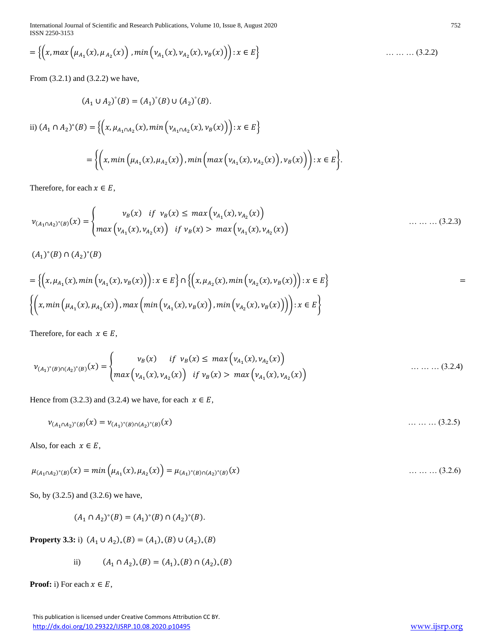International Journal of Scientific and Research Publications, Volume 10, Issue 8, August 2020 752 ISSN 2250-3153

$$
= \left\{ \left( x, \max \left( \mu_{A_1}(x), \mu_{A_2}(x) \right), \min \left( v_{A_1}(x), v_{A_2}(x), v_B(x) \right) \right) : x \in E \right\} \tag{3.2.2}
$$

From (3.2.1) and (3.2.2) we have,

$$
(A_1 \cup A_2)^{\circ}(B) = (A_1)^{\circ}(B) \cup (A_2)^{\circ}(B).
$$
  
ii) 
$$
(A_1 \cap A_2)^{\circ}(B) = \{ \left( x, \mu_{A_1 \cap A_2}(x), \min \left( v_{A_1 \cap A_2}(x), v_B(x) \right) \right) : x \in E \}
$$

$$
= \{ \left( x, \min \left( \mu_{A_1}(x), \mu_{A_2}(x) \right), \min \left( \max \left( v_{A_1}(x), v_{A_2}(x) \right), v_B(x) \right) \right) : x \in E \}.
$$

Therefore, for each  $x \in E$ ,

$$
v_{(A_1 \cap A_2)^{\circ}(B)}(x) = \begin{cases} v_B(x) & \text{if } v_B(x) \leq \max(v_{A_1}(x), v_{A_2}(x)) \\ \max(v_{A_1}(x), v_{A_2}(x)) & \text{if } v_B(x) > \max(v_{A_1}(x), v_{A_2}(x)) \end{cases}
$$
(3.2.3)

 $(A_1)^\circ(B) \cap (A_2)^\circ(B)$ 

$$
= \left\{ \left( x, \mu_{A_1}(x), \min \left( v_{A_1}(x), v_B(x) \right) \right) : x \in E \right\} \cap \left\{ \left( x, \mu_{A_2}(x), \min \left( v_{A_2}(x), v_B(x) \right) \right) : x \in E \right\}
$$
  

$$
\left\{ \left( x, \min \left( \mu_{A_1}(x), \mu_{A_2}(x) \right), \max \left( \min \left( v_{A_1}(x), v_B(x) \right), \min \left( v_{A_2}(x), v_B(x) \right) \right) \right) : x \in E \right\}
$$

Therefore, for each  $x \in E$ ,

$$
\nu_{(A_1)^{\circ}(B)\cap (A_2)^{\circ}(B)}(x) = \begin{cases} \nu_B(x) & \text{if } \nu_B(x) \le \max\left(\nu_{A_1}(x), \nu_{A_2}(x)\right) \\ \max\left(\nu_{A_1}(x), \nu_{A_2}(x)\right) & \text{if } \nu_B(x) > \max\left(\nu_{A_1}(x), \nu_{A_2}(x)\right) \end{cases} \tag{3.2.4}
$$

Hence from (3.2.3) and (3.2.4) we have, for each  $x \in E$ ,

$$
\nu_{(A_1 \cap A_2)^{\circ}(B)}(x) = \nu_{(A_1)^{\circ}(B) \cap (A_2)^{\circ}(B)}(x) \tag{3.2.5}
$$

Also, for each  $x \in E$ ,

$$
\mu_{(A_1 \cap A_2)^{\circ}(B)}(x) = \min \left( \mu_{A_1}(x), \mu_{A_2}(x) \right) = \mu_{(A_1)^{\circ}(B) \cap (A_2)^{\circ}(B)}(x)
$$
\n(3.2.6)

So, by (3.2.5) and (3.2.6) we have,

$$
(A_1 \cap A_2)^{\circ}(B) = (A_1)^{\circ}(B) \cap (A_2)^{\circ}(B).
$$

**Property 3.3:** i)  $(A_1 \cup A_2)_*(B) = (A_1)_*(B) \cup (A_2)_*(B)$ 

ii) 
$$
(A_1 \cap A_2)_*(B) = (A_1)_*(B) \cap (A_2)_*(B)
$$

**Proof: i**) For each  $x \in E$ ,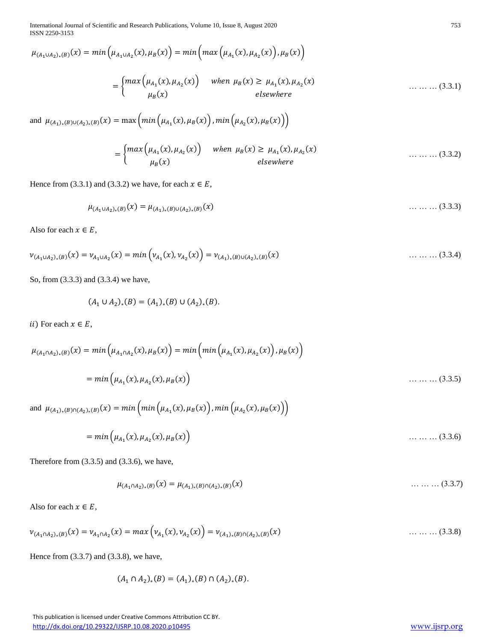International Journal of Scientific and Research Publications, Volume 10, Issue 8, August 2020 753 ISSN 2250-3153

$$
\mu_{(A_1 \cup A_2)_*(B)}(x) = \min\left(\mu_{A_1 \cup A_2}(x), \mu_B(x)\right) = \min\left(\max\left(\mu_{A_1}(x), \mu_{A_2}(x)\right), \mu_B(x)\right)
$$

$$
= \begin{cases} \max\left(\mu_{A_1}(x), \mu_{A_2}(x)\right) & \text{when } \mu_B(x) \ge \mu_{A_1}(x), \mu_{A_2}(x) \\ \mu_B(x) & \text{elsewhere} \end{cases} \tag{3.3.1}
$$

and  $\mu_{(A_1)_*(B)\cup (A_2)_*(B)}(x) = \max \left( \min \left( \mu_{A_1}(x), \mu_B(x) \right), \min \left( \mu_{A_2}(x), \mu_B(x) \right) \right)$ 

$$
= \begin{cases} \max\left(\mu_{A_1}(x), \mu_{A_2}(x)\right) & \text{when } \mu_B(x) \ge \mu_{A_1}(x), \mu_{A_2}(x) \\ \mu_B(x) & \text{elsewhere} \end{cases} \tag{3.3.2}
$$

Hence from (3.3.1) and (3.3.2) we have, for each  $x \in E$ ,

$$
\mu_{(A_1 \cup A_2)_*(B)}(x) = \mu_{(A_1)_*(B) \cup (A_2)_*(B)}(x) \tag{3.3.3}
$$

Also for each  $x \in E$ ,

$$
\nu_{(A_1 \cup A_2)_*(B)}(x) = \nu_{A_1 \cup A_2}(x) = \min \left( \nu_{A_1}(x), \nu_{A_2}(x) \right) = \nu_{(A_1)_*(B) \cup (A_2)_*(B)}(x) \tag{3.3.4}
$$

So, from (3.3.3) and (3.3.4) we have,

$$
(A_1 \cup A_2)_*(B) = (A_1)_*(B) \cup (A_2)_*(B).
$$

*ii*) For each  $x \in E$ ,

$$
\mu_{(A_1 \cap A_2)_*(B)}(x) = \min\left(\mu_{A_1 \cap A_2}(x), \mu_B(x)\right) = \min\left(\min\left(\mu_{A_1}(x), \mu_{A_2}(x)\right), \mu_B(x)\right)
$$

$$
= \min\left(\mu_{A_1}(x), \mu_{A_2}(x), \mu_B(x)\right) \qquad \dots \dots \dots \tag{3.3.5}
$$

and 
$$
\mu_{(A_1)_*(B)\cap (A_2)_*(B)}(x) = \min \left( \min \left( \mu_{A_1}(x), \mu_B(x) \right), \min \left( \mu_{A_2}(x), \mu_B(x) \right) \right)
$$
  
=  $\min \left( \mu_{A_1}(x), \mu_{A_2}(x), \mu_B(x) \right)$  (3.3.6)

Therefore from (3.3.5) and (3.3.6), we have,

$$
\mu_{(A_1 \cap A_2)_*(B)}(x) = \mu_{(A_1)_*(B) \cap (A_2)_*(B)}(x) \tag{3.3.7}
$$

Also for each  $x \in E$ ,

$$
\nu_{(A_1 \cap A_2)_*(B)}(x) = \nu_{A_1 \cap A_2}(x) = \max \left( \nu_{A_1}(x), \nu_{A_2}(x) \right) = \nu_{(A_1)_*(B) \cap (A_2)_*(B)}(x) \tag{3.3.8}
$$

Hence from (3.3.7) and (3.3.8), we have,

$$
(A_1 \cap A_2)_*(B) = (A_1)_*(B) \cap (A_2)_*(B).
$$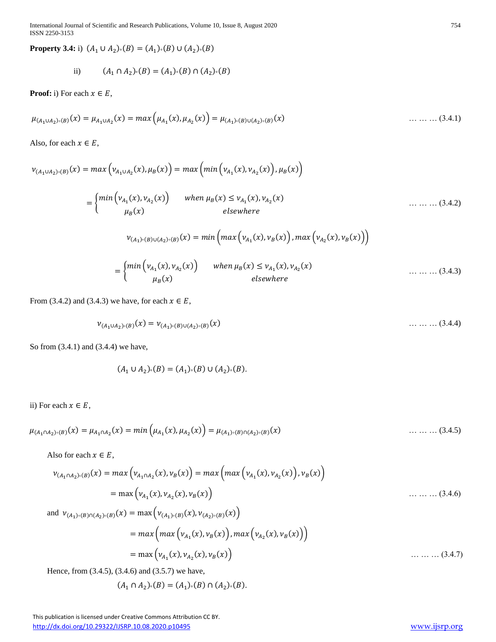International Journal of Scientific and Research Publications, Volume 10, Issue 8, August 2020 754 ISSN 2250-3153

**Property 3.4:** i)  $(A_1 \cup A_2) \cdot (B) = (A_1) \cdot (B) \cup (A_2) \cdot (B)$ 

ii) 
$$
(A_1 \cap A_2) \cdot (B) = (A_1) \cdot (B) \cap (A_2) \cdot (B)
$$

**Proof:** i) For each  $x \in E$ ,

$$
\mu_{(A_1 \cup A_2) \circ (B)}(x) = \mu_{A_1 \cup A_2}(x) = \max \left( \mu_{A_1}(x), \mu_{A_2}(x) \right) = \mu_{(A_1) \circ (B) \cup (A_2) \circ (B)}(x) \tag{3.4.1}
$$

Also, for each  $x \in E$ ,

 $v_{(A_1 \cup A_2) \circ (B)}(x) = max(v_{A_1 \cup A_2}(x), \mu_B(x)) = max(min(v_{A_1}(x), v_{A_2}(x)), \mu_B(x))$ 

$$
= \begin{cases} \min\left(\nu_{A_1}(x), \nu_{A_2}(x)\right) & \text{when } \mu_B(x) \le \nu_{A_1}(x), \nu_{A_2}(x) \\ \mu_B(x) & \text{elsewhere} \end{cases} \tag{3.4.2}
$$

$$
v_{(A_1) \circ (B) \cup (A_2) \circ (B)}(x) = \min \left( \max \left( v_{A_1}(x), v_B(x) \right), \max \left( v_{A_2}(x), v_B(x) \right) \right)
$$
  
= 
$$
\begin{cases} \min \left( v_{A_1}(x), v_{A_2}(x) \right) & \text{when } \mu_B(x) \le v_{A_1}(x), v_{A_2}(x) \\ \mu_B(x) & \text{elsewhere} \end{cases}
$$
 (3.4.3)

From (3.4.2) and (3.4.3) we have, for each  $x \in E$ ,

$$
\nu_{(A_1 \cup A_2) \circ (B)}(x) = \nu_{(A_1) \circ (B) \cup (A_2) \circ (B)}(x) \tag{3.4.4}
$$

So from (3.4.1) and (3.4.4) we have,

$$
(A_1 \cup A_2) \cdot (B) = (A_1) \cdot (B) \cup (A_2) \cdot (B).
$$

# ii) For each  $x \in E$ ,

 $\mu_{(A_1 \cap A_2) \circ (B)}(x) = \mu_{A_1 \cap A_2}(x) = min \left( \mu_{A_1}(x), \mu_{A_2}(x) \right) = \mu_{(A_1) \circ (B) \cap (A_2) \circ (B)}$ () … … … (3.4.5)

Also for each  $x \in E$ ,

 (1∩2)° () () = (1∩<sup>2</sup> (), ()) = ( (<sup>1</sup> (), <sup>2</sup> ()) , ()) = max (<sup>1</sup> (), <sup>2</sup> (), ()) … … … (3.4.6) and (1)° ()∩(2)° () () = max ((1)° () (), (2)° () ()) = ( (<sup>1</sup> (), ()) , (<sup>2</sup> (), ())) = max (<sup>1</sup> (), <sup>2</sup> (), ()) … … … (3.4.7)

Hence, from (3.4.5), (3.4.6) and (3.5.7) we have,

$$
(A_1 \cap A_2) \cdot (B) = (A_1) \cdot (B) \cap (A_2) \cdot (B).
$$